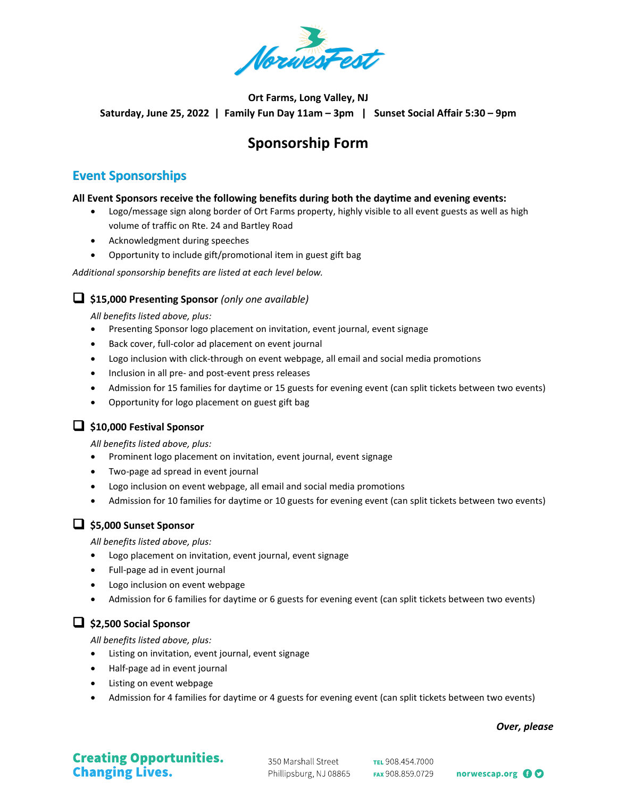

### **Ort Farms, Long Valley, NJ Saturday, June 25, 2022 | Family Fun Day 11am – 3pm | Sunset Social Affair 5:30 – 9pm**

# **Sponsorship Form**

### **Event Sponsorships**

#### **All Event Sponsors receive the following benefits during both the daytime and evening events:**

- Logo/message sign along border of Ort Farms property, highly visible to all event guests as well as high volume of traffic on Rte. 24 and Bartley Road
- Acknowledgment during speeches
- Opportunity to include gift/promotional item in guest gift bag

*Additional sponsorship benefits are listed at each level below.*

#### **\$15,000 Presenting Sponsor** *(only one available)*

*All benefits listed above, plus:*

- Presenting Sponsor logo placement on invitation, event journal, event signage
- Back cover, full-color ad placement on event journal
- Logo inclusion with click-through on event webpage, all email and social media promotions
- Inclusion in all pre- and post-event press releases
- Admission for 15 families for daytime or 15 guests for evening event (can split tickets between two events)
- Opportunity for logo placement on guest gift bag

### **\$10,000 Festival Sponsor**

*All benefits listed above, plus:*

- Prominent logo placement on invitation, event journal, event signage
- Two-page ad spread in event journal
- Logo inclusion on event webpage, all email and social media promotions
- Admission for 10 families for daytime or 10 guests for evening event (can split tickets between two events)

### **\$5,000 Sunset Sponsor**

*All benefits listed above, plus:*

- Logo placement on invitation, event journal, event signage
- Full-page ad in event journal
- Logo inclusion on event webpage
- Admission for 6 families for daytime or 6 guests for evening event (can split tickets between two events)

### **\$2,500 Social Sponsor**

*All benefits listed above, plus:*

- Listing on invitation, event journal, event signage
- Half-page ad in event journal
- Listing on event webpage
- Admission for 4 families for daytime or 4 guests for evening event (can split tickets between two events)

*Over, please*

# **Creating Opportunities. Changing Lives.**